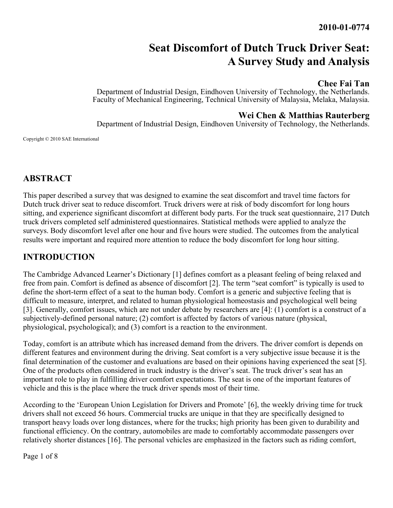# **Seat Discomfort of Dutch Truck Driver Seat: A Survey Study and Analysis**

#### **Chee Fai Tan**

Department of Industrial Design, Eindhoven University of Technology, the Netherlands. Faculty of Mechanical Engineering, Technical University of Malaysia, Melaka, Malaysia.

### **Wei Chen & Matthias Rauterberg**

Department of Industrial Design, Eindhoven University of Technology, the Netherlands.

Copyright © 2010 SAE International

### **ABSTRACT**

This paper described a survey that was designed to examine the seat discomfort and travel time factors for Dutch truck driver seat to reduce discomfort. Truck drivers were at risk of body discomfort for long hours sitting, and experience significant discomfort at different body parts. For the truck seat questionnaire, 217 Dutch truck drivers completed self administered questionnaires. Statistical methods were applied to analyze the surveys. Body discomfort level after one hour and five hours were studied. The outcomes from the analytical results were important and required more attention to reduce the body discomfort for long hour sitting.

### **INTRODUCTION**

The Cambridge Advanced Learner's Dictionary [1] defines comfort as a pleasant feeling of being relaxed and free from pain. Comfort is defined as absence of discomfort [2]. The term "seat comfort" is typically is used to define the short-term effect of a seat to the human body. Comfort is a generic and subjective feeling that is difficult to measure, interpret, and related to human physiological homeostasis and psychological well being [3]. Generally, comfort issues, which are not under debate by researchers are [4]: (1) comfort is a construct of a subjectively-defined personal nature; (2) comfort is affected by factors of various nature (physical, physiological, psychological); and (3) comfort is a reaction to the environment.

Today, comfort is an attribute which has increased demand from the drivers. The driver comfort is depends on different features and environment during the driving. Seat comfort is a very subjective issue because it is the final determination of the customer and evaluations are based on their opinions having experienced the seat [5]. One of the products often considered in truck industry is the driver's seat. The truck driver's seat has an important role to play in fulfilling driver comfort expectations. The seat is one of the important features of vehicle and this is the place where the truck driver spends most of their time.

According to the 'European Union Legislation for Drivers and Promote' [6], the weekly driving time for truck drivers shall not exceed 56 hours. Commercial trucks are unique in that they are specifically designed to transport heavy loads over long distances, where for the trucks; high priority has been given to durability and functional efficiency. On the contrary, automobiles are made to comfortably accommodate passengers over relatively shorter distances [16]. The personal vehicles are emphasized in the factors such as riding comfort,

Page 1 of 8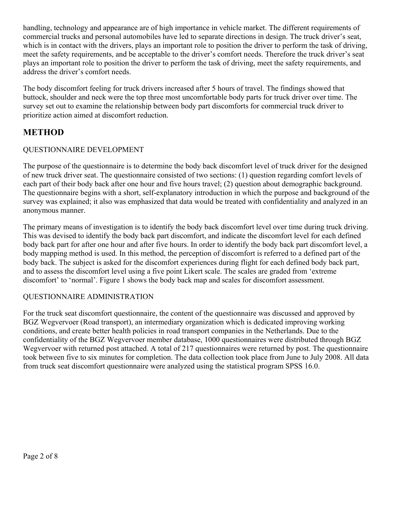handling, technology and appearance are of high importance in vehicle market. The different requirements of commercial trucks and personal automobiles have led to separate directions in design. The truck driver's seat, which is in contact with the drivers, plays an important role to position the driver to perform the task of driving, meet the safety requirements, and be acceptable to the driver's comfort needs. Therefore the truck driver's seat plays an important role to position the driver to perform the task of driving, meet the safety requirements, and address the driver's comfort needs.

The body discomfort feeling for truck drivers increased after 5 hours of travel. The findings showed that buttock, shoulder and neck were the top three most uncomfortable body parts for truck driver over time. The survey set out to examine the relationship between body part discomforts for commercial truck driver to prioritize action aimed at discomfort reduction.

## **METHOD**

#### QUESTIONNAIRE DEVELOPMENT

The purpose of the questionnaire is to determine the body back discomfort level of truck driver for the designed of new truck driver seat. The questionnaire consisted of two sections: (1) question regarding comfort levels of each part of their body back after one hour and five hours travel; (2) question about demographic background. The questionnaire begins with a short, self-explanatory introduction in which the purpose and background of the survey was explained; it also was emphasized that data would be treated with confidentiality and analyzed in an anonymous manner.

The primary means of investigation is to identify the body back discomfort level over time during truck driving. This was devised to identify the body back part discomfort, and indicate the discomfort level for each defined body back part for after one hour and after five hours. In order to identify the body back part discomfort level, a body mapping method is used. In this method, the perception of discomfort is referred to a defined part of the body back. The subject is asked for the discomfort experiences during flight for each defined body back part, and to assess the discomfort level using a five point Likert scale. The scales are graded from 'extreme discomfort' to 'normal'. Figure 1 shows the body back map and scales for discomfort assessment.

#### QUESTIONNAIRE ADMINISTRATION

For the truck seat discomfort questionnaire, the content of the questionnaire was discussed and approved by BGZ Wegvervoer (Road transport), an intermediary organization which is dedicated improving working conditions, and create better health policies in road transport companies in the Netherlands. Due to the confidentiality of the BGZ Wegvervoer member database, 1000 questionnaires were distributed through BGZ Wegvervoer with returned post attached. A total of 217 questionnaires were returned by post. The questionnaire took between five to six minutes for completion. The data collection took place from June to July 2008. All data from truck seat discomfort questionnaire were analyzed using the statistical program SPSS 16.0.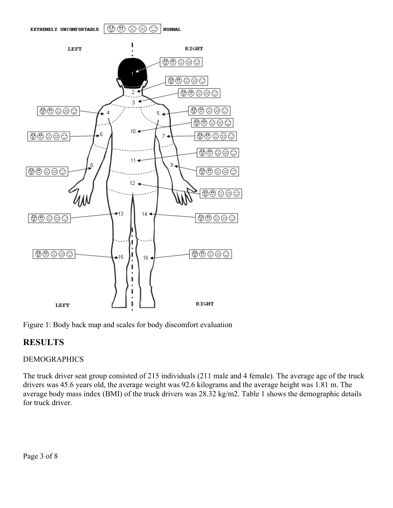

 $\begin{picture}(40,4) \put(0,0){\line(1,0){0.5}} \put(10,0){\line(1,0){0.5}} \put(10,0){\line(1,0){0.5}} \put(10,0){\line(1,0){0.5}} \put(10,0){\line(1,0){0.5}} \put(10,0){\line(1,0){0.5}} \put(10,0){\line(1,0){0.5}} \put(10,0){\line(1,0){0.5}} \put(10,0){\line(1,0){0.5}} \put(10,0){\line(1,0){0.5}} \put(10,0){\line(1,0){0.5}} \put$ **NORMAL** 



Figure 1: Body back map and scales for body discomfort evaluation

### **RESULTS**

#### DEMOGRAPHICS

The truck driver seat group consisted of 215 individuals (211 male and 4 female). The average age of the truck drivers was 45.6 years old, the average weight was 92.6 kilograms and the average height was 1.81 m. The average body mass index (BMI) of the truck drivers was 28.32 kg/m2. Table 1 shows the demographic details for truck driver.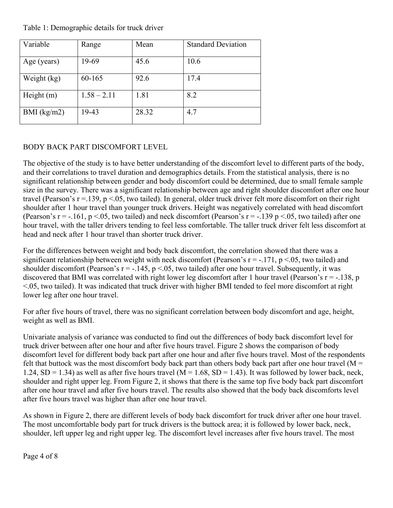Table 1: Demographic details for truck driver

| Variable      | Range         | Mean  | <b>Standard Deviation</b> |
|---------------|---------------|-------|---------------------------|
| Age (years)   | 19-69         | 45.6  | 10.6                      |
| Weight (kg)   | 60-165        | 92.6  | 17.4                      |
| Height $(m)$  | $1.58 - 2.11$ | 1.81  | 8.2                       |
| $BMI$ (kg/m2) | 19-43         | 28.32 | 4.7                       |

#### BODY BACK PART DISCOMFORT LEVEL

The objective of the study is to have better understanding of the discomfort level to different parts of the body, and their correlations to travel duration and demographics details. From the statistical analysis, there is no significant relationship between gender and body discomfort could be determined, due to small female sample size in the survey. There was a significant relationship between age and right shoulder discomfort after one hour travel (Pearson's  $r = 139$ ,  $p < 05$ , two tailed). In general, older truck driver felt more discomfort on their right shoulder after 1 hour travel than younger truck drivers. Height was negatively correlated with head discomfort (Pearson's  $r = -161$ ,  $p < 05$ , two tailed) and neck discomfort (Pearson's  $r = -139$  p  $< 05$ , two tailed) after one hour travel, with the taller drivers tending to feel less comfortable. The taller truck driver felt less discomfort at head and neck after 1 hour travel than shorter truck driver.

For the differences between weight and body back discomfort, the correlation showed that there was a significant relationship between weight with neck discomfort (Pearson's  $r = -171$ ,  $p < 0.05$ , two tailed) and shoulder discomfort (Pearson's  $r = -0.145$ ,  $p < 0.05$ , two tailed) after one hour travel. Subsequently, it was discovered that BMI was correlated with right lower leg discomfort after 1 hour travel (Pearson's  $r = -138$ , p <.05, two tailed). It was indicated that truck driver with higher BMI tended to feel more discomfort at right lower leg after one hour travel.

For after five hours of travel, there was no significant correlation between body discomfort and age, height, weight as well as BMI.

Univariate analysis of variance was conducted to find out the differences of body back discomfort level for truck driver between after one hour and after five hours travel. Figure 2 shows the comparison of body discomfort level for different body back part after one hour and after five hours travel. Most of the respondents felt that buttock was the most discomfort body back part than others body back part after one hour travel ( $M =$ 1.24, SD = 1.34) as well as after five hours travel ( $M = 1.68$ , SD = 1.43). It was followed by lower back, neck, shoulder and right upper leg. From Figure 2, it shows that there is the same top five body back part discomfort after one hour travel and after five hours travel. The results also showed that the body back discomforts level after five hours travel was higher than after one hour travel.

As shown in Figure 2, there are different levels of body back discomfort for truck driver after one hour travel. The most uncomfortable body part for truck drivers is the buttock area; it is followed by lower back, neck, shoulder, left upper leg and right upper leg. The discomfort level increases after five hours travel. The most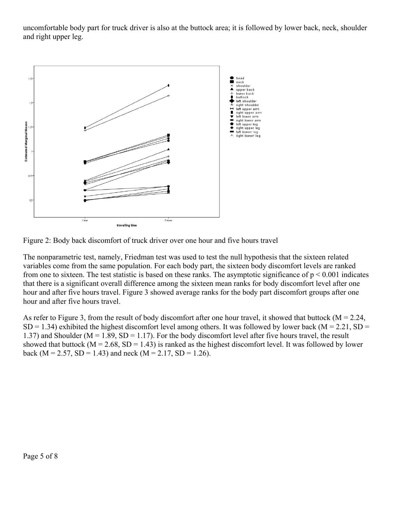uncomfortable body part for truck driver is also at the buttock area; it is followed by lower back, neck, shoulder and right upper leg.





The nonparametric test, namely, Friedman test was used to test the null hypothesis that the sixteen related variables come from the same population. For each body part, the sixteen body discomfort levels are ranked from one to sixteen. The test statistic is based on these ranks. The asymptotic significance of  $p \le 0.001$  indicates that there is a significant overall difference among the sixteen mean ranks for body discomfort level after one hour and after five hours travel. Figure 3 showed average ranks for the body part discomfort groups after one hour and after five hours travel.

As refer to Figure 3, from the result of body discomfort after one hour travel, it showed that buttock ( $M = 2.24$ ,  $SD = 1.34$ ) exhibited the highest discomfort level among others. It was followed by lower back (M = 2.21, SD = 1.37) and Shoulder ( $M = 1.89$ ,  $SD = 1.17$ ). For the body discomfort level after five hours travel, the result showed that buttock ( $M = 2.68$ ,  $SD = 1.43$ ) is ranked as the highest discomfort level. It was followed by lower back (M = 2.57, SD = 1.43) and neck (M = 2.17, SD = 1.26).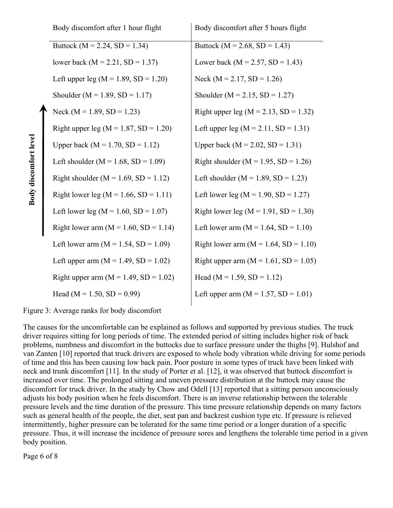|  | Body discomfort after 1 hour flight          | Body discomfort after 5 hours flight         |
|--|----------------------------------------------|----------------------------------------------|
|  | Buttock ( $M = 2.24$ , $SD = 1.34$ )         | Buttock ( $M = 2.68$ , $SD = 1.43$ )         |
|  | lower back ( $M = 2.21$ , $SD = 1.37$ )      | Lower back ( $M = 2.57$ , $SD = 1.43$ )      |
|  | Left upper leg ( $M = 1.89$ , $SD = 1.20$ )  | Neck ( $M = 2.17$ , $SD = 1.26$ )            |
|  | Shoulder ( $M = 1.89$ , $SD = 1.17$ )        | Shoulder ( $M = 2.15$ , $SD = 1.27$ )        |
|  | Neck ( $M = 1.89$ , $SD = 1.23$ )            | Right upper leg ( $M = 2.13$ , $SD = 1.32$ ) |
|  | Right upper leg ( $M = 1.87$ , SD = 1.20)    | Left upper $leg (M = 2.11, SD = 1.31)$       |
|  | Upper back ( $M = 1.70$ , $SD = 1.12$ )      | Upper back ( $M = 2.02$ , $SD = 1.31$ )      |
|  | Left shoulder ( $M = 1.68$ , $SD = 1.09$ )   | Right shoulder ( $M = 1.95$ , $SD = 1.26$ )  |
|  | Right shoulder ( $M = 1.69$ , $SD = 1.12$ )  | Left shoulder ( $M = 1.89$ , $SD = 1.23$ )   |
|  | Right lower leg ( $M = 1.66$ , $SD = 1.11$ ) | Left lower leg ( $M = 1.90$ , $SD = 1.27$ )  |
|  | Left lower leg ( $M = 1.60$ , $SD = 1.07$ )  | Right lower leg ( $M = 1.91$ , $SD = 1.30$ ) |
|  | Right lower arm ( $M = 1.60$ , $SD = 1.14$ ) | Left lower arm ( $M = 1.64$ , $SD = 1.10$ )  |
|  | Left lower arm ( $M = 1.54$ , $SD = 1.09$ )  | Right lower arm ( $M = 1.64$ , $SD = 1.10$ ) |
|  | Left upper arm ( $M = 1.49$ , $SD = 1.02$ )  | Right upper arm ( $M = 1.61$ , $SD = 1.05$ ) |
|  | Right upper arm ( $M = 1.49$ , $SD = 1.02$ ) | Head ( $M = 1.59$ , $SD = 1.12$ )            |
|  | Head ( $M = 1.50$ , $SD = 0.99$ )            | Left upper arm ( $M = 1.57$ , $SD = 1.01$ )  |
|  |                                              |                                              |

Figure 3: Average ranks for body discomfort

**body 1999**<br>
Uppe<br>
Left s<br>
Right<br>
Right<br>
Left I<br>
Right<br>
Left I<br>
Right<br>
Left I<br>
Right<br>
Left I<br>
Right<br>
Head<br>
Figure 3: Avera<br>
The causes for<br>
direct requires<br>
problems, num<br>
van Zanten [10<br>
of time and this<br>
neck and trunk<br> The causes for the uncomfortable can be explained as follows and supported by previous studies. The truck driver requires sitting for long periods of time. The extended period of sitting includes higher risk of back problems, numbness and discomfort in the buttocks due to surface pressure under the thighs [9]. Hulshof and van Zanten [10] reported that truck drivers are exposed to whole body vibration while driving for some periods of time and this has been causing low back pain. Poor posture in some types of truck have been linked with neck and trunk discomfort [11]. In the study of Porter et al. [12], it was observed that buttock discomfort is increased over time. The prolonged sitting and uneven pressure distribution at the buttock may cause the discomfort for truck driver. In the study by Chow and Odell [13] reported that a sitting person unconsciously adjusts his body position when he feels discomfort. There is an inverse relationship between the tolerable pressure levels and the time duration of the pressure. This time pressure relationship depends on many factors such as general health of the people, the diet, seat pan and backrest cushion type etc. If pressure is relieved intermittently, higher pressure can be tolerated for the same time period or a longer duration of a specific pressure. Thus, it will increase the incidence of pressure sores and lengthens the tolerable time period in a given body position.

Page 6 of 8

**Body discomfort level**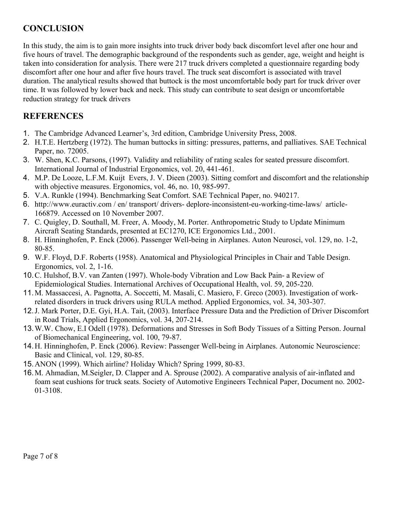# **CONCLUSION**

In this study, the aim is to gain more insights into truck driver body back discomfort level after one hour and five hours of travel. The demographic background of the respondents such as gender, age, weight and height is taken into consideration for analysis. There were 217 truck drivers completed a questionnaire regarding body discomfort after one hour and after five hours travel. The truck seat discomfort is associated with travel duration. The analytical results showed that buttock is the most uncomfortable body part for truck driver over time. It was followed by lower back and neck. This study can contribute to seat design or uncomfortable reduction strategy for truck drivers

### **REFERENCES**

- 1. The Cambridge Advanced Learner's, 3rd edition, Cambridge University Press, 2008.
- 2. H.T.E. Hertzberg (1972). The human buttocks in sitting: pressures, patterns, and palliatives. SAE Technical Paper, no. 72005.
- 3. W. Shen, K.C. Parsons, (1997). Validity and reliability of rating scales for seated pressure discomfort. International Journal of Industrial Ergonomics, vol. 20, 441-461.
- 4. M.P. De Looze, L.F.M. Kuijt Evers, J. V. Dieen (2003). Sitting comfort and discomfort and the relationship with objective measures. Ergonomics, vol. 46, no. 10, 985-997.
- 5. V.A. Runkle (1994). Benchmarking Seat Comfort. SAE Technical Paper, no. 940217.
- 6. http://www.euractiv.com / en/ transport/ drivers- deplore-inconsistent-eu-working-time-laws/ article-166879. Accessed on 10 November 2007.
- 7. C. Quigley, D. Southall, M. Freer, A. Moody, M. Porter. Anthropometric Study to Update Minimum Aircraft Seating Standards, presented at EC1270, ICE Ergonomics Ltd., 2001.
- 8. H. Hinninghofen, P. Enck (2006). Passenger Well-being in Airplanes. Auton Neurosci, vol. 129, no. 1-2, 80-85.
- 9. W.F. Floyd, D.F. Roberts (1958). Anatomical and Physiological Principles in Chair and Table Design. Ergonomics, vol. 2, 1-16.
- 10. C. Hulshof, B.V. van Zanten (1997). Whole-body Vibration and Low Back Pain- a Review of Epidemiological Studies. International Archives of Occupational Health, vol. 59, 205-220.
- 11. M. Massaccesi, A. Pagnotta, A. Soccetti, M. Masali, C. Masiero, F. Greco (2003). Investigation of workrelated disorders in truck drivers using RULA method. Applied Ergonomics, vol. 34, 303-307.
- 12. J. Mark Porter, D.E. Gyi, H.A. Tait, (2003). Interface Pressure Data and the Prediction of Driver Discomfort in Road Trials, Applied Ergonomics, vol. 34, 207-214.
- 13. W.W. Chow, E.I Odell (1978). Deformations and Stresses in Soft Body Tissues of a Sitting Person. Journal of Biomechanical Engineering, vol. 100, 79-87.
- 14. H. Hinninghofen, P. Enck (2006). Review: Passenger Well-being in Airplanes. Autonomic Neuroscience: Basic and Clinical, vol. 129, 80-85.
- 15. ANON (1999). Which airline? Holiday Which? Spring 1999, 80-83.
- 16. M. Ahmadian, M.Seigler, D. Clapper and A. Sprouse (2002). A comparative analysis of air-inflated and foam seat cushions for truck seats. Society of Automotive Engineers Technical Paper, Document no. 2002- 01-3108.